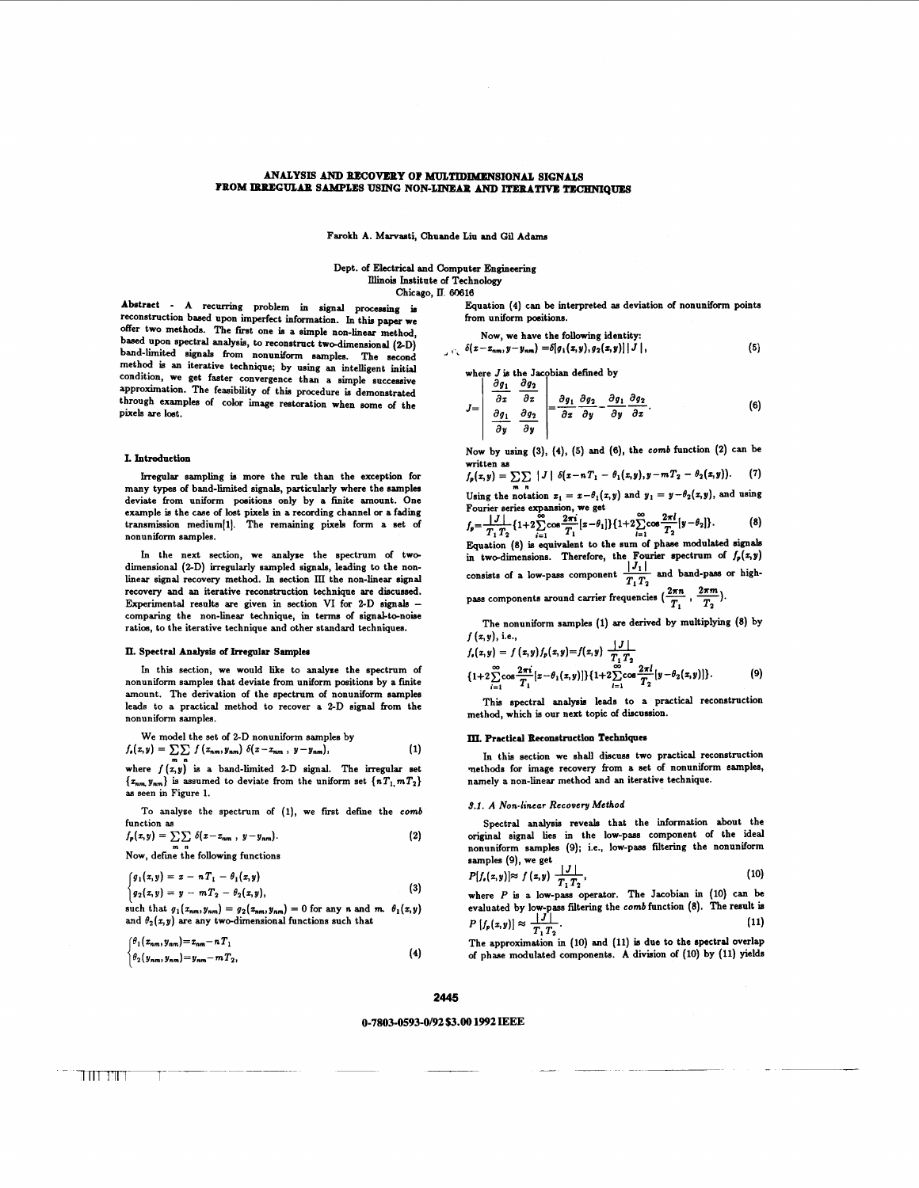## **ANALYSIS AND RECOVERY OF MULTIDIMENSIONAL SIGNALS** FROM IBBEGULAR SAMPLES USING NON-LINEAR AND ITERATIVE TECHNIQUES

Farokh A. Marvasti, Chuande Liu and Gil Adams

## Dept. of Electrical and Computer Engineering **Illinois** Institute of Technology Chicago, **E.** 60616

Abstract - A recurring problem in signal processing is reconstruction **based** upon imperfect information. In this paper we offer two methods. The first one is a simple non-linear method, based upon spectral analysis, to reconstruct two-dimensional (2-D) band-limited signals from nonuniform samples. The second method is an iterative technique; by using an intelligent initial condition, we get faster convergence than a simple successive approximation. The feasibility of this procedure is demonstrated through examples of color image restoration when some of the pixels are lost.

## **I. Introdnction**

Irregular sampling is more the rule than the exception for many types of band-limited signals, particularly where the samples deviate from uniform positions only by a finite amount. One example is the case of lost pixels in a recording channel **or** a fading  $transmission$  medium $[1]$ . The remaining pixels form a set of nonuniform samples.

In the next section, we analyxe the spectrum of twodimensional (2-D) irregularly sampled signals, leading to the nonlinear signal recovery method. In section **III** the non-linear signal recovery and an iterative reconstruction technique are discussed. Experimental results are given in section VI for ZD signals - comparing the non-linear technique, in terms of signal-to-noise ratios, to the iterative technique and other standard techniques.

## **IL** Spectral **Analysis** of **Irregular** Samples

In this section, we would like to analyse the spectrum of nonuniform samples that deviate from uniform positions by a fmite amount. The derivation of the spectrum of nonuniform samples leads to a practical method to recover a ZD signal from the nonuniform samples.

We model the set of 2-D nonuniform samples by  

$$
f_{\bullet}(x,y) = \sum \sum f(x_{nm}, y_{nm}) \delta(x - x_{nm}, y - y_{nm}),
$$
 (1)

we model the set of 2-D nonunliorm samples by<br>  $f_s(z,y) = \sum_{m} \int (x_{nm}, y_{nm}) \delta(z - x_{nm}, y - y_{nm}),$  (1)<br>
where  $f(x,y)$  is a band-limited 2-D signal. The irregular set<br>  $\{x_{nm}, y_{nm}\}$  is assumed to deviate from the uniform set  $\{nT_1, mT_$ **as** seen in Figure 1.

To analyze the spectrum of (1), we first define the comb function **as** 

function as  

$$
f_p(x, y) = \sum_{m} \delta(x - x_{nm}, y - y_{nm}).
$$
 (2)

Now, defme the following functions

$$
\begin{cases}\ng_1(x,y) = x - nT_1 - \theta_1(x,y) \\
g_2(x,y) = y - mT_2 - \theta_2(x,y),\n\end{cases} \tag{3}
$$

such that 
$$
g_1(x_{nm}, y_{nm}) = g_2(x_{nm}, y_{nm}) = 0
$$
 for any n and m.  $\theta_1(x, y)$  and  $\theta_2(x, y)$  are any two-dimensional functions such that

$$
\begin{cases}\n\theta_1 \left( z_{nm}, y_{nm} \right) = z_{nm} - n \, T_1 \\
\theta_2 \left( y_{nm}, y_{nm} \right) = y_{nm} - m \, T_2,\n\end{cases} \tag{4}
$$

Equation **(4)** can be interpreted **as** deviation of nonuniform points from uniform positions.

Now, we have the following identity:  $-\delta(z-z_{nm},y-y_{nm}) = \delta[g_1(z,y),g_2(z,y)] |J|,$  (5)

where *J* is the Jacobian defined by<br> $\begin{bmatrix} \partial g_1 & \partial g_2 \end{bmatrix}$ 

$$
J = \begin{vmatrix} \frac{\partial z}{\partial x} & \frac{\partial z}{\partial x} \\ \frac{\partial g_1}{\partial y} & \frac{\partial g_2}{\partial y} \end{vmatrix} = \frac{\partial g_1}{\partial z} \frac{\partial g_2}{\partial y} - \frac{\partial g_1}{\partial y} \frac{\partial g_2}{\partial z}.
$$
 (6)

Now by using **(3), (4), (5)** and **(6),** the **comb** function **(2)** can be written as  $f_p(z,y) = \sum \sum |J| \delta(z-nT_1 - \theta_1(z,y),y-mT_2 - \theta_2(z,y)).$  (7)

$$
J_p(z, y) = \sum_{m} \sum_{n} |y| \sigma(z - m_1 - \sigma_1(z, y), y - m_2 - \sigma_2(z, y)) \cdot (1)
$$
  
Using the notation  $x_1 = x - \theta_1(z, y)$  and  $y_1 = y - \theta_2(z, y)$ , and using  
Fourier series expansion, we get

$$
f_p = \frac{1}{T_1} \frac{1}{T_2} \{1+2 \sum_{i=1}^{\infty} \cos \frac{2\pi i}{T_1} [x-\theta_1] \} \{1+2 \sum_{i=1}^{\infty} \cos \frac{2\pi i}{T_2} [y-\theta_2] \}.
$$
 (8)

Equation **(8)** is equivalent to the sum of phase modulated signals in two-dimensions. Therefore, the Fourier spectrum of  $f_p(x)$ Using the notation  $x_1 = x - v_1(x, y)$  and  $y_1 = y - v_2(x, y)$ , and dang<br>
Fourier series expansion, we get<br>  $f_p = \frac{|J|}{|T_1 T_2} \{1 + 2 \sum_{i=1}^{\infty} \cos \frac{2\pi i}{T_1} [x - \theta_1] \} \{1 + 2 \sum_{i=1}^{\infty} \cos \frac{2\pi i}{T_2} [y - \theta_2] \}.$ (8)<br>
Equation (8) **Example 1 Example 1** *Pass* or high-<br> $\frac{2\pi n}{T_1}$ ,  $\frac{2\pi m}{T_2}$ ).  $T_1 T_2$ 

The nonuniform samples (1) **are** derived by multiplying **(8)** by

$$
f(x,y), i.e.,
$$
  
\n
$$
f_{\nu}(x,y) = f(x,y) f_{\nu}(x,y) = f(x,y) \frac{|J|}{T_1 T_2}
$$
  
\n
$$
\{1+2 \sum_{i=1}^{\infty} \cos \frac{2\pi i}{T_1} [x-\theta_1(x,y)]\} \{1+2 \sum_{i=1}^{\infty} \cos \frac{2\pi i}{T_2} [y-\theta_2(x,y)]\}.
$$
 (9)

This spectral analysis leads to a practical reconstruction method, which is our next topic **of** discussion.

#### Practied **Reconitruction Techniqucs**

In this section we shall discuss two practical reconstruction methods for image recovery from a set of nonuniform samples, namely a non-linear method and an iterative technique.

## **3.1.** *A* **Non-linear Recovery Method**

Spectral analysis reveals that the information about the original signal lies in the low-paas component of the ideal nonuniform samples **(9);** i.e., low-pass filtering the nonuniform samples **(Q),** we get Spectral analysis reveals that the information about the<br>original signal lies in the low-pass component of the ideal<br>nonuniform samples (9); i.e., low-pass filtering the nonuniform<br>samples (9), we get<br> $P[f_i(z,y)] \approx f(z,y) \frac{|J|}{T$ 

$$
P[f_{\iota}(x,y)] \approx f(x,y) \frac{|J|}{T_1 T_2}, \qquad (10)
$$

**p**[ $f(x,y) \approx f(x,y) \approx \frac{f(1)}{T_1 T_2}$ , (10)<br>
where *P* is a low-pass operator. The Jacobian in (10) can be<br>
evaluated by low-pass filtering the *comb* function (8). The result is<br>  $P\left[f_p(x,y)\right] \approx \frac{f}{T_1 T_2}$ . (11)<br>
The approxi where *P* is a low-pass operator. The Jacobian in **(10)** can be evaluated by low-pass fdtering the **comb** function **(8).** The result **is** 

The approximation in (10) and (11) is due to the spectral overlap of phase modulated components. A division of **(10)** by (11) yields

## **2445**

# *0-7803-0593-0192 \$3.00* **1992 IEEE**  2445<br>0-7803-0593-0/92 \$3.00 1992 1<br>0-7803-0593-0/92 \$3.00 1992 1<br>0-2000 1992 1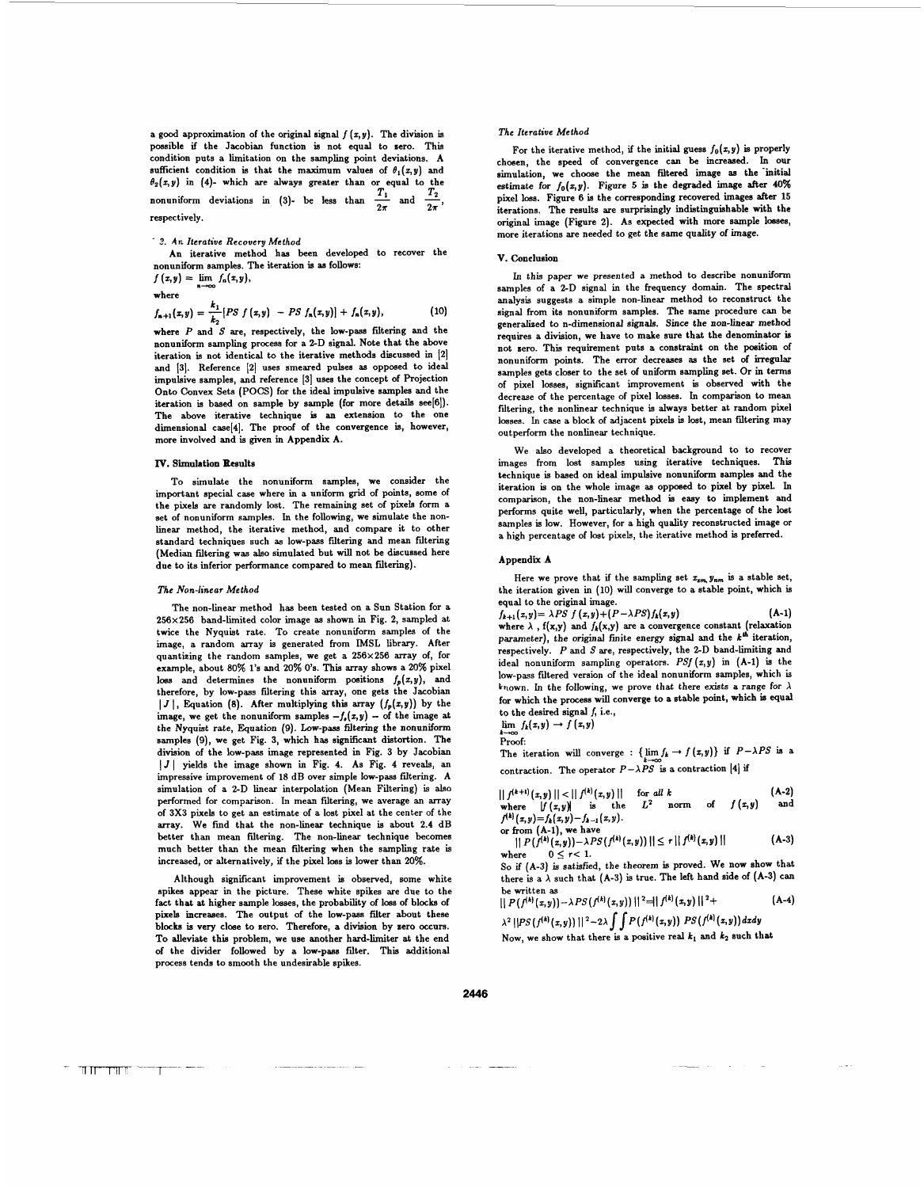a good approximation of the original signal  $f(x, y)$ . The division is possible if the Jacobian function is not equal to sero. This condition puts a limitation on the sampling point deviations. A sufficient condition is that the maximum values of  $\theta_1(x,y)$  and  $\theta_2(x, y)$  in (4)- which are always greater than or equal to the Extraction puss a minimation of the samilying point deviations.<br> **The deviation is that the maximum values of**  $\theta_1(z,y)$  **and**<br>  $\theta_2(z,y)$  in (4)- which are always greater than or equal to the<br>
nonuniform deviations in (3) respectively.

# **S. An** *Iterative* **Recovery** *Method*

An iterative method has been developed to recover the nonuniform samples. The iteration is **as** follows:

 $f(x,y) = \lim f_n(x,y),$ where

$$
f_{n+1}(x,y) = \frac{k_1}{k_2} [PS \ f(x,y) - PS \ f_n(x,y)] + f_n(x,y), \qquad (10)
$$

where *P* and **S** are, respectively, the low-pass filtering and the nonuniform sampling process for a ZD signal. Note that the above iteration is not identical to the iterative methods discussed in [2] and 131. Reference **121** uses smeared pulses **as** opposed to ideal impulsive samples, and reference [3] uses the concept of Projection Onto Convex Sets (POCS) for the ideal impulsive samples and the iteration is based on sample by sample (for more details see[6]). The above iterative technique is **an** extension to the one dimensional case[4]. The proof of the convergence is, however, more involved and is given in Appendix A.

## **IV.** Simulation **Results**

To simulate the nonuniform samples, we consider the important special case where in a uniform grid of points, some of the pixels are randomly lost. The remaining set of pixels form a set of nonuniform samples. In the following, we simulate the nonlinear method, the iterative method, and compare it to other standard techniques such **as** low-pass filtering and mean filtering (Median filtering was **also** simulated but will not be discussed here due to its inferior performance compared to mean filtering).

### *The Non-linear Method*

The non-linear method has been tested on a Sun Station for a 256x256 band-limited color image **as** shown in Fig. 2, sampled at twice the Nyquist rate. To create nonuniform samples of the image, a random array is generated from IMSL library. After quantizing the random samples, we get a 256x256 array of, for example, about 80% 1's and 20% **0's.** This array shows a **20%** pixel loss and determines the nonuniform positions  $f_p(x,y)$ , and therefore, by low-pass filtering this array, one gets the Jacobian  $|J|$ , Equation (8). After multiplying this array  $(f_p(x,y))$  by the image, we get the nonuniform samples  $-f_n(x,y)$  - of the image at the Nyquist rate, Equation (9). Low-pass filtering the nonuniform samples **(9),** we get Fig. 3, which has significant distortion. The division **of** the low-pass image represented in Fig. 3 by Jacobian I *J* I yields the image shown in Fig. 4. As Fig. **4** reveals, an impressive improvement of 18 dB over simple low-pass filtering. A simulation of a 2-D linear interpolation (Mean Filtering) is **also**  performed for comparison. In mean filtering, we average an array of 3x3 pixels to get an estimate of a lost pixel at the center of the array. We find that the non-linear technique is about 2.4 dB better than mean filtering. The non-linear technique becomes much better than the mean filtering when the sampling rate is increased, or alternatively, if the pixel **loss** is lower than **20%.** 

Although significant improvement is observed, some white spikes appear in the picture. These white spikes are due to the fact that at higher sample losses, the probability of **loss** of blocks of pixels increases. The output of the low-pass filter about these blocks is very close to zero. Therefore, a division by zero occurs. To alleviate this problem, we use another hard-limiter at the end *of* the divider followed by a low-pass filter. This additional process tends to smooth the undesirable spikes.

## *The Iterative Method*

For the iterative method, if the initial guess  $f_0(x,y)$  is properly chosen, the speed of convergence can be increased. In **our**  simulation, we choose the mean filtered image as the initial estimate for  $f_0(x,y)$ . Figure 5 is the degraded image after  $40\%$ pixel **loss.** Figure 6 is the corresponding recovered images after 15 iterations. The results are surprisingly indistinguishable with the original image (Figure 2). As expected with more sample losses, more iterations are needed to get the same quality of image.

## **V.** Conclusion

In this paper we presented a method to describe nonuniform samples of a **ZD** signal in the frequency domain. The spectral analysis suggests a simple non-linear method to reconstruct the signal from its nonuniform samples. The same procedure can be generalized to n-dimensional signals. Since the non-linear method requires a division, we have to make sure that the denominator is not sero. This requirement puts a constraint on the position of nonuniform points. The error decreases **as** the set of irregular samples gets closer to the set of uniform sampling set. **Or** in terms of pixel losses, significant improvement is observed with the decrease of the percentage of pixel losses. In comparison to mean filtering, the nonlinear technique is always better at random pixel losses. In case a block of adjacent pixels is lost, mean filtering may outperform the nonlinear technique.

We **also** developed a theoretical background to to recover images from lost samples using iterative techniques. This technique is based on ideal impulsive nonuniform samples and the iteration is on the whole image **as** opposed to pixel by pixel. In comparison, the non-linear method is easy to implement and performs quite well, particularly, when the percentage of the lost samples is low. However, for a high quality reconstructed image or a high percentage of lost pixels, the iterative method is preferred.

## Appendix **A**

Here we prove that if the sampling set  $x_{xm}$ ,  $y_{nm}$  is a stable set, the iteration given in **(10)** will converge to a stable point, which is equal to the original image.

 $f_{k+1}(x,y) = \lambda PS \ f(x,y) + (P - \lambda PS) f_k(x,y)$  (A-1)<br>where  $\lambda$ , f(x,y) and  $f_k(x,y)$  are a convergence constant (relaxation parameter), the original finite energy signal and the  $k^{th}$  iteration, respectively. *P* and S are, respectively, the **ZD** band-limiting and ideal nonuniform sampling operators. **PSf(z,y)** in (A-1) is the low-pass filtered version of the ideal nonuniform samples, which is known. In the following, we prove that there exists a range for  $\lambda$ for which the process wiU converge to a stable point, which **is qual**  to the desired signal *f*, i.e.,  $\lim_{h \to 0} f_k(x,y) \to f(x,y)$  $f_{k+1}(x,y) = \lambda PS \ f(x,y) + (P - \lambda PS) f_k(x,y)$ 

$$
\lim f_k(x,y) \to f(x)
$$

Proof:

The iteration will converge : { $\lim f_k \to f(x,y)$ } if  $P-\lambda PS$  is a contraction. The operator  $P - \lambda PS$  is a contraction [4] if

$$
||f^{(k+1)}(x,y)|| < ||f^{(k)}(x,y)||
$$
 for all k  
where  $|f(x,y)|$  is the  $L^2$  norm of  $f(x,y)$  and

 $f^{(k)}(x, y) = f_k(x, y) - f_{k-1}(x, y)$ .

or from (A-1), we have<br>  $|| P(f^{(k)}(x,y)) - \lambda PS(f^{(k)}(x,y)) || \le r || f^{(k)}(x,y) ||$  (A-3)

where  $0 \le r < 1$ .<br>So if (A-3) is satisfied, the theorem is proved. We now show that there is a  $\lambda$  such that (A-3) is true. The left hand side of (A-3) can be written **as** 

$$
|| P(f^{(k)}(x,y)) - \lambda PS(f^{(k)}(x,y)) ||^2 = || f^{(k)}(x,y) ||^2 +
$$
 (A-4)

 $\lambda^2 ||PS(f^{(k)}(x,y))||^2 - 2\lambda \int \int P(f^{(k)}(x,y)) PS(f^{(k)}(x,y)) dx dy$ Now, we show that there is a positive real  $k_1$  and  $k_2$  such that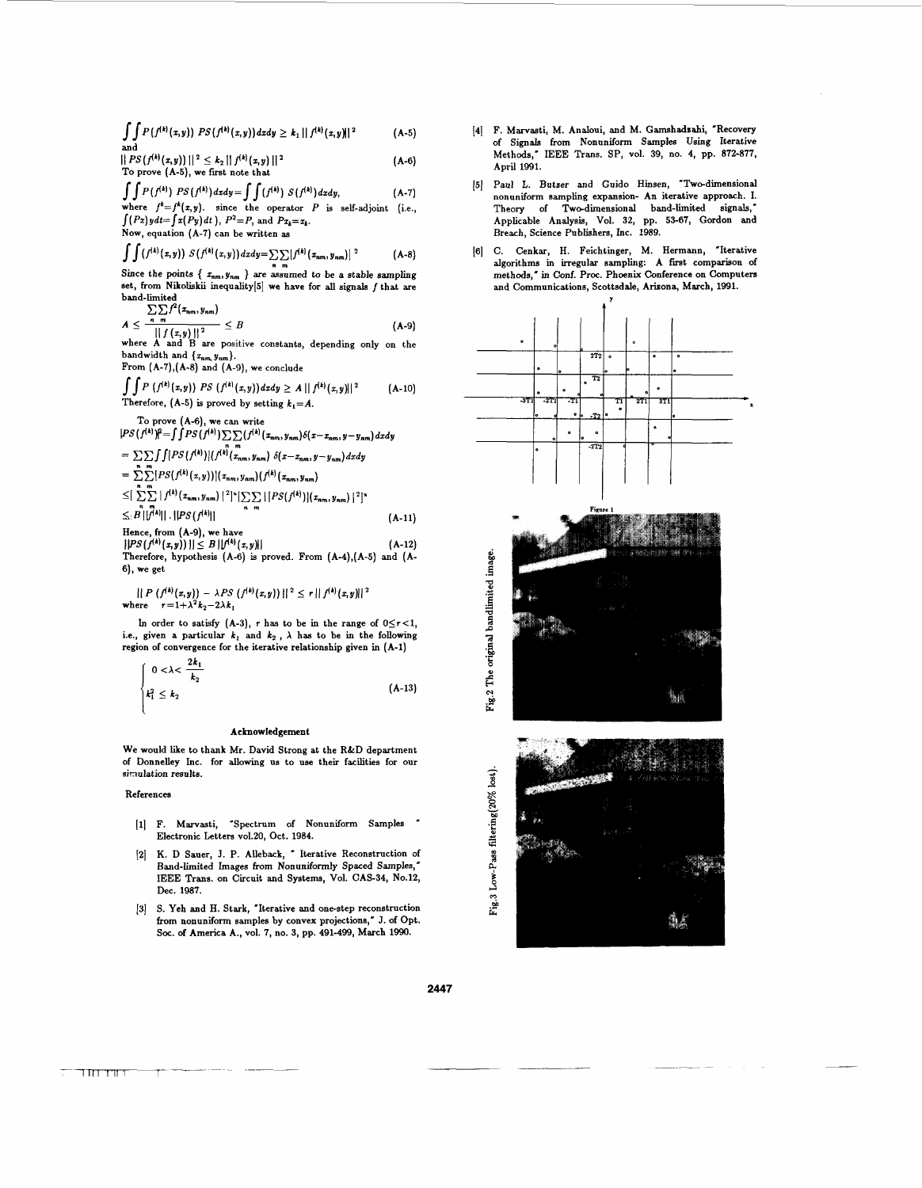$\int \int P(f^{(k)}(x,y)) PS(f^{(k)}(x,y)) dx dy \ge k_1 ||f^{(k)}(x,y)||^2$  $(A-5)$ and

 $|| PS(f<sup>(k)</sup>(x,y)) ||<sup>2</sup> \le k<sub>2</sub> || f<sup>(k)</sup>(x,y) ||<sup>2</sup>$  $(A-6)$ To prove (A-5), we first note that

 $\int\int P(f^{(k)}) PS(f^{(k)}) dx dy = \int\int (f^{(k)}) S(f^{(k)}) dx dy,$  $(A-7)$ where  $f^k = f^k(x, y)$ , since the operator P is self-adjoint (i.e.,<br>  $\int (Px)ydt = \int x(Py)dt$ ),  $P^2 = P$ , and  $Pz_k = z_k$ .

Now, equation (A-7) can be written as

$$
\int \int (f^{(k)}(x,y)) S(f^{(k)}(x,y)) dx dy = \sum_{n} \sum_{m} [f^{(k)}(x_{nm}, y_{nm})]^{2}
$$
 (A-8)

Since the points  $\{x_{nm}, y_{nm}\}$  are assumed to be a stable sampling set, from Nikoliskii inequality [5] we have for all signals f that are  $\bf{band\text{-}limited}$  $\nabla \nabla f^2(x, y)$ 

$$
A \leq \frac{2\sqrt{1+\left(\frac{2}{\pi}\right)^{n}} - 1}{\left|\left|\left(\frac{x}{\pi}\right)\right|\right|^{2}} \leq B
$$
 (A-9)  
where A and B are positive constants, depending only on the

bandwidth and  $\{x_{nm}, y_{nm}\}$ .<br>**From**  $(A-7)$ ,  $(A-8)$  and  $(A-9)$ , we conclude

 $\int\int P(f^{(k)}(x,y)) PS(f^{(k)}(x,y)) dx dy \geq A ||f^{(k)}(x,y)||^2$  $(A-10)$ Therefore, (A-5) is proved by setting  $k_1 = A$ .

To prove (A-6), we can write<br> $|PS(f^{(k)})^2 = \int \int PS(f^{(k)}) \sum_{n} \sum_{m} (f^{(k)}(x_{nm}, y_{nm}) \delta(x - x_{nm}, y - y_{nm}) dxdy$ 

 $= \sum \sum \int \int [PS(f^{(k)})](f^{(k)}(x_{nm}, y_{nm}) \delta(x - x_{nm}, y - y_{nm}) dx dy$  $= \sum_{k=1}^{n} [PS(f^{(k)}(x, y))](x_{nm}, y_{nm})(f^{(k)}(x_{nm}, y_{nm}))$ 

 $\leq \left[\sum_{n=m}^{n-m} |f^{(k)}(x_{nm},y_{nm})|^2\right]^{\nu} \left[\sum_{n=m} |[PS(f^{(k)})](x_{nm},y_{nm})|^2\right]^{\nu}$  $\leq B\|\hat{f}^{(k)}\|$ .  $\|PS(f^{(k)}\|$ 

 $(A-11)$ Hence, from (A-9), we have  $\left|\left|PS(f^{(k)}(x,y))\right|\right| \leq B \left|\left|f^{(k)}(x,y)\right|\right|$  (A-12)

Therefore, hypothesis (A-6) is proved. From (A-4),(A-5) and (A-6), we get

 $\| P(f^{(k)}(x,y)) - \lambda PS(f^{(k)}(x,y)) \|^{2} \leq r \| f^{(k)}(x,y) \|^{2}$ where  $r=1+\lambda^2 k_2-2\lambda k_1$ 

In order to satisfy (A-3),  $r$  has to be in the range of  $0 \le r < 1$ , i.e., given a particular  $k_1$  and  $k_2$ ,  $\lambda$  has to be in the following region of convergence for the iterative relationship given in (A-1)

$$
\begin{cases}\n0 < \lambda < \frac{2k_1}{k_2} \\
k_1^2 \le k_2\n\end{cases} \tag{A-13}
$$

## Acknowledgement

We would like to thank Mr. David Strong at the R&D department of Donnelley Inc. for allowing **us** to **use** their facilities for our simulation results.

## References

- F. Marvasti, 'Spectrum **of** Nonuniform Samples Electronic Letters v01.20, Oct. 1984.
- K. D Sauer, J. P. Alleback, "Iterative Reconstruction of  $\lceil 2 \rceil$ Band-limited Images from Nonuniformly Spaced Samples," IEEE Trans. on Circuit and Systems, Vol. CAS-34, No.12, Dec. 1987.
- **S.** Yeh and H. Stark, 'Iterative and one-step reconstruction from nonuniform samples by convex projections," J. of Opt. **Soc. of** America A., vol. 7, no. 3, pp. 491-499, March 1990.
- F. Marvasti, **M.** Analoui, and **M. Gamshadsahi,** 'Recovery of Signals from Nonuniform Samples Using Iterative Methods," IEEE Trans. SP, vol. 39, no. 4, pp. 872-877, April 1991.
- [5] Paul L. Butzer and Guido Hinsen, "Two-dimensional nonuniform sampling expansion- An iterative approach. I. Theory of Two-dimensional band-limited signals,' Applicable Analysis, Vol. 32, pp. 53-67, Gordon and Breach, Science Publishers, Inc. 1989.
- [6] C. Cenkar, H. Feichtinger, M. Hermann, "Iterative algorithms in irregular sampling: A first comparison of methods," in Conf. Proc. Phoenix Conference on Computers and Communications, Scottsdale, Arizona, March, 1991.



**2447** 

 $\top$ HTTTLE